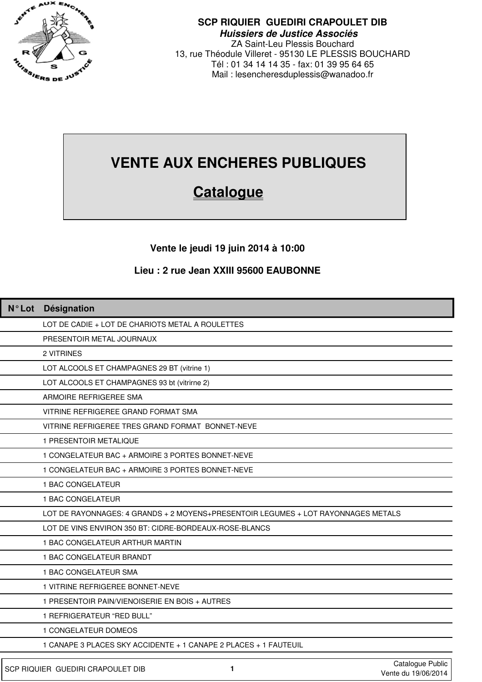

**SCP RIQUIER GUEDIRI CRAPOULET DIB Huissiers de Justice Associés** ZA Saint-Leu Plessis Bouchard 13, rue Théodule Villeret - 95130 LE PLESSIS BOUCHARD Tél : 01 34 14 14 35 - fax: 01 39 95 64 65 Mail : lesencheresduplessis@wanadoo.fr

## **VENTE AUX ENCHERES PUBLIQUES**

## **Catalogue**

**Vente le jeudi 19 juin 2014 à 10:00**

## **Lieu : 2 rue Jean XXIII 95600 EAUBONNE**

| N°Lot Désignation                                                                 |
|-----------------------------------------------------------------------------------|
| LOT DE CADIE + LOT DE CHARIOTS METAL A ROULETTES                                  |
| PRESENTOIR METAL JOURNAUX                                                         |
| 2 VITRINES                                                                        |
| LOT ALCOOLS ET CHAMPAGNES 29 BT (vitrine 1)                                       |
| LOT ALCOOLS ET CHAMPAGNES 93 bt (vitrirne 2)                                      |
| ARMOIRE REFRIGEREE SMA                                                            |
| VITRINE REFRIGEREE GRAND FORMAT SMA                                               |
| VITRINE REFRIGEREE TRES GRAND FORMAT BONNET-NEVE                                  |
| 1 PRESENTOIR METALIQUE                                                            |
| 1 CONGELATEUR BAC + ARMOIRE 3 PORTES BONNET-NEVE                                  |
| 1 CONGELATEUR BAC + ARMOIRE 3 PORTES BONNET-NEVE                                  |
| 1 BAC CONGELATEUR                                                                 |
| 1 BAC CONGELATEUR                                                                 |
| LOT DE RAYONNAGES: 4 GRANDS + 2 MOYENS+PRESENTOIR LEGUMES + LOT RAYONNAGES METALS |
| LOT DE VINS ENVIRON 350 BT: CIDRE-BORDEAUX-ROSE-BLANCS                            |
| 1 BAC CONGELATEUR ARTHUR MARTIN                                                   |
| 1 BAC CONGELATEUR BRANDT                                                          |
| 1 BAC CONGELATEUR SMA                                                             |
| 1 VITRINE REFRIGEREE BONNET-NEVE                                                  |
| 1 PRESENTOIR PAIN/VIENOISERIE EN BOIS + AUTRES                                    |
| 1 REFRIGERATEUR "RED BULL"                                                        |
| 1 CONGELATEUR DOMEOS                                                              |
| 1 CANAPE 3 PLACES SKY ACCIDENTE + 1 CANAPE 2 PLACES + 1 FAUTEUIL                  |
| Catalogue Public<br>SCP RIQUIER GUEDIRI CRAPOULET DIB<br>1<br>Vente du 19/06/2014 |